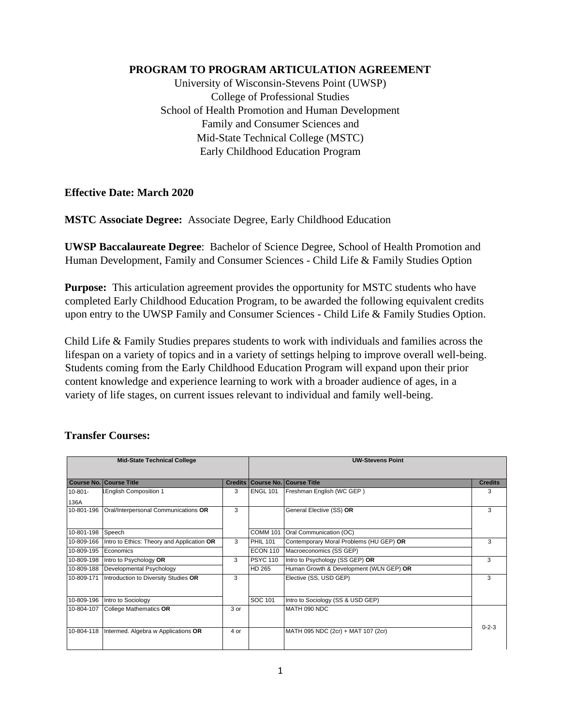## **PROGRAM TO PROGRAM ARTICULATION AGREEMENT**

University of Wisconsin-Stevens Point (UWSP) College of Professional Studies School of Health Promotion and Human Development Family and Consumer Sciences and Mid-State Technical College (MSTC) Early Childhood Education Program

#### **Effective Date: March 2020**

**MSTC Associate Degree:** Associate Degree, Early Childhood Education

**UWSP Baccalaureate Degree**: Bachelor of Science Degree, School of Health Promotion and Human Development, Family and Consumer Sciences - Child Life & Family Studies Option

**Purpose:** This articulation agreement provides the opportunity for MSTC students who have completed Early Childhood Education Program, to be awarded the following equivalent credits upon entry to the UWSP Family and Consumer Sciences - Child Life & Family Studies Option.

Child Life & Family Studies prepares students to work with individuals and families across the lifespan on a variety of topics and in a variety of settings helping to improve overall well-being. Students coming from the Early Childhood Education Program will expand upon their prior content knowledge and experience learning to work with a broader audience of ages, in a variety of life stages, on current issues relevant to individual and family well-being.

| <b>Mid-State Technical College</b> |                                            |      | <b>UW-Stevens Point</b> |                                         |                |
|------------------------------------|--------------------------------------------|------|-------------------------|-----------------------------------------|----------------|
|                                    | <b>Course No. Course Title</b>             |      |                         | Credits   Course No.   Course Title     | <b>Credits</b> |
| $10 - 801 -$<br>136A               | English Composition 1                      | 3    | <b>ENGL 101</b>         | Freshman English (WC GEP)               | 3              |
| 10-801-196                         | Oral/Interpersonal Communications OR       | 3    |                         | General Elective (SS) OR                | 3              |
| 10-801-198                         | Speech                                     |      | <b>COMM 101</b>         | Oral Communication (OC)                 |                |
| 10-809-166                         | Intro to Ethics: Theory and Application OR | 3    | <b>PHIL 101</b>         | Contemporary Moral Problems (HU GEP) OR | 3              |
| 10-809-195                         | Economics                                  |      | <b>ECON 110</b>         | Macroeconomics (SS GEP)                 |                |
| 10-809-198                         | Intro to Psychology OR                     | 3    | <b>PSYC 110</b>         | Intro to Psychology (SS GEP) OR         | 3              |
| 10-809-188                         | Developmental Psychology                   |      | HD 265                  | Human Growth & Development (WLN GEP) OR |                |
| 10-809-171                         | Introduction to Diversity Studies OR       | 3    |                         | Elective (SS, USD GEP)                  | 3              |
| 10-809-196                         | Intro to Sociology                         |      | SOC 101                 | Intro to Sociology (SS & USD GEP)       |                |
| 10-804-107                         | <b>College Mathematics OR</b>              | 3 or |                         | MATH 090 NDC                            |                |
| 10-804-118                         | Intermed. Algebra w Applications OR        | 4 or |                         | MATH 095 NDC (2cr) + MAT 107 (2cr)      | $0 - 2 - 3$    |

## **Transfer Courses:**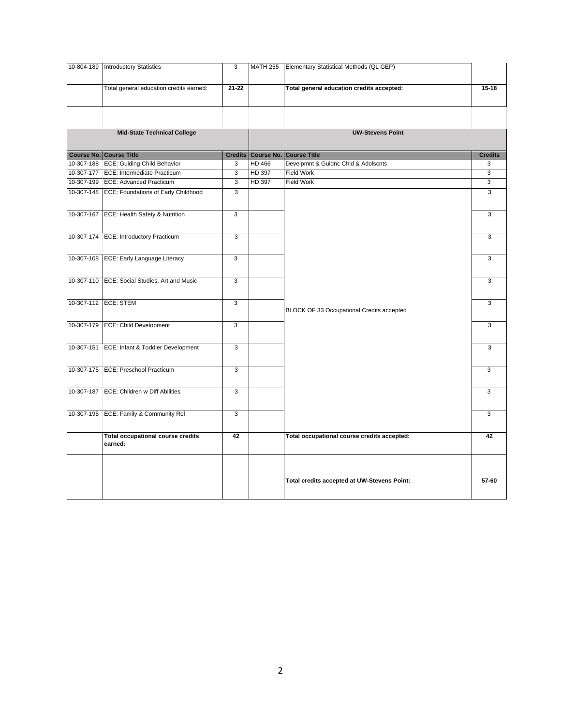| 10-804-189 | <b>Introductory Statistics</b>                 | 3              |        | MATH 255 Elementary Statistical Methods (QL GEP) |                |
|------------|------------------------------------------------|----------------|--------|--------------------------------------------------|----------------|
|            | Total general education credits earned:        | $21 - 22$      |        | Total general education credits accepted:        | $15 - 18$      |
|            |                                                |                |        |                                                  |                |
|            | <b>Mid-State Technical College</b>             |                |        | <b>UW-Stevens Point</b>                          |                |
|            | <b>Course No. Course Title</b>                 |                |        | <b>Credits Course No. Course Title</b>           | <b>Credits</b> |
|            | 10-307-188 ECE: Guiding Child Behavior         | 3              | HD 466 | Develpmnt & Guidnc Chld & Adolscnts              | 3              |
|            | 10-307-177 ECE: Intermediate Practicum         | $\overline{3}$ | HD 397 | Field Work                                       | 3              |
|            | 10-307-199 ECE: Advanced Practicum             | 3              | HD 397 | Field Work                                       | 3              |
|            | 10-307-148 ECE: Foundations of Early Childhood | 3              |        |                                                  | 3              |
|            | 10-307-167 ECE: Health Safety & Nutrition      | 3              |        |                                                  | 3              |
|            |                                                |                |        |                                                  |                |
|            | 10-307-174 ECE: Introductory Practicum         | 3              |        |                                                  | 3              |
|            |                                                |                |        |                                                  |                |
|            | 10-307-108 ECE: Early Language Literacy        | 3              |        |                                                  | 3              |
|            |                                                |                |        |                                                  |                |
|            | 10-307-110 ECE: Social Studies, Art and Music  | $\overline{3}$ |        |                                                  | $\overline{3}$ |
|            |                                                |                |        |                                                  |                |
|            |                                                |                |        |                                                  |                |
|            | 10-307-112 ECE: STEM                           | 3              |        | BLOCK OF 33 Occupational Credits accepted        | 3              |
|            | 10-307-179 ECE: Child Development              | 3              |        |                                                  | 3              |
|            |                                                |                |        |                                                  |                |
|            | 10-307-151 ECE: Infant & Toddler Development   | 3              |        |                                                  | 3              |
|            |                                                |                |        |                                                  |                |
|            | 10-307-175 ECE: Preschool Practicum            | 3              |        |                                                  | 3              |
|            |                                                |                |        |                                                  |                |
|            | 10-307-187 ECE: Children w Diff Abilities      | 3              |        |                                                  | 3              |
|            |                                                |                |        |                                                  |                |
|            |                                                |                |        |                                                  |                |
|            | 10-307-195 ECE: Family & Community Rel         | 3              |        |                                                  | 3              |
|            | <b>Total occupational course credits</b>       | 42             |        | Total occupational course credits accepted:      | 42             |
|            | earned:                                        |                |        |                                                  |                |
|            |                                                |                |        |                                                  |                |
|            |                                                |                |        | Total credits accepted at UW-Stevens Point:      | 57-60          |
|            |                                                |                |        |                                                  |                |
|            |                                                |                |        |                                                  |                |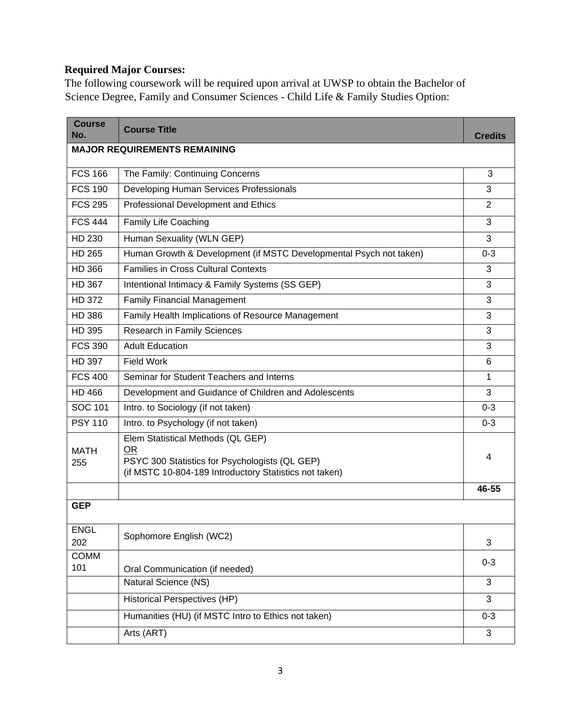# **Required Major Courses:**

The following coursework will be required upon arrival at UWSP to obtain the Bachelor of Science Degree, Family and Consumer Sciences - Child Life & Family Studies Option:

| <b>Course</b><br>No. | <b>Course Title</b>                                                                                                                                 | <b>Credits</b> |
|----------------------|-----------------------------------------------------------------------------------------------------------------------------------------------------|----------------|
|                      | <b>MAJOR REQUIREMENTS REMAINING</b>                                                                                                                 |                |
| <b>FCS 166</b>       | The Family: Continuing Concerns                                                                                                                     | 3              |
| <b>FCS 190</b>       | Developing Human Services Professionals                                                                                                             | 3              |
| <b>FCS 295</b>       | Professional Development and Ethics                                                                                                                 | 2              |
| <b>FCS 444</b>       | Family Life Coaching                                                                                                                                | 3              |
| HD 230               | Human Sexuality (WLN GEP)                                                                                                                           | 3              |
| <b>HD 265</b>        | Human Growth & Development (if MSTC Developmental Psych not taken)                                                                                  | $0 - 3$        |
| HD 366               | <b>Families in Cross Cultural Contexts</b>                                                                                                          | 3              |
| <b>HD 367</b>        | Intentional Intimacy & Family Systems (SS GEP)                                                                                                      | 3              |
| <b>HD 372</b>        | <b>Family Financial Management</b>                                                                                                                  | 3              |
| <b>HD 386</b>        | Family Health Implications of Resource Management                                                                                                   | 3              |
| HD 395               | <b>Research in Family Sciences</b>                                                                                                                  | 3              |
| <b>FCS 390</b>       | <b>Adult Education</b>                                                                                                                              | 3              |
| <b>HD 397</b>        | <b>Field Work</b>                                                                                                                                   | 6              |
| <b>FCS 400</b>       | Seminar for Student Teachers and Interns                                                                                                            | 1              |
| HD 466               | Development and Guidance of Children and Adolescents                                                                                                | 3              |
| SOC 101              | Intro. to Sociology (if not taken)                                                                                                                  | $0 - 3$        |
| <b>PSY 110</b>       | Intro. to Psychology (if not taken)                                                                                                                 | $0 - 3$        |
| <b>MATH</b><br>255   | Elem Statistical Methods (QL GEP)<br>OR<br>PSYC 300 Statistics for Psychologists (QL GEP)<br>(if MSTC 10-804-189 Introductory Statistics not taken) | 4              |
|                      |                                                                                                                                                     | 46-55          |
| <b>GEP</b>           |                                                                                                                                                     |                |
| <b>ENGL</b><br>202   | Sophomore English (WC2)                                                                                                                             | 3              |
| <b>COMM</b><br>101   | Oral Communication (if needed)                                                                                                                      | $0 - 3$        |
|                      | Natural Science (NS)                                                                                                                                | 3              |
|                      | Historical Perspectives (HP)                                                                                                                        | 3              |
|                      | Humanities (HU) (if MSTC Intro to Ethics not taken)                                                                                                 | $0 - 3$        |
|                      | Arts (ART)                                                                                                                                          | 3              |